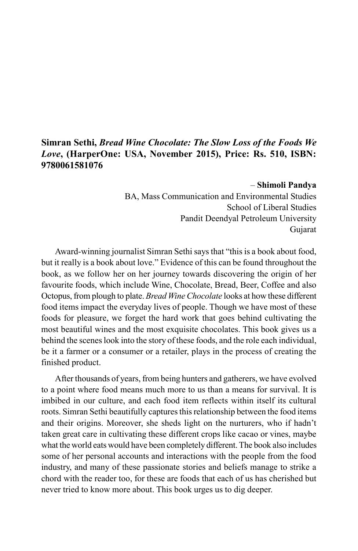## **Simran Sethi,** *Bread Wine Chocolate: The Slow Loss of the Foods We Love***, (HarperOne: USA, November 2015), Price: Rs. 510, ISBN: 9780061581076**

## – **Shimoli Pandya**

BA, Mass Communication and Environmental Studies School of Liberal Studies Pandit Deendyal Petroleum University Gujarat

Award-winning journalist Simran Sethi says that "this is a book about food, but it really is a book about love." Evidence of this can be found throughout the book, as we follow her on her journey towards discovering the origin of her favourite foods, which include Wine, Chocolate, Bread, Beer, Coffee and also Octopus, from plough to plate. *Bread Wine Chocolate* looks at how these different food items impact the everyday lives of people. Though we have most of these foods for pleasure, we forget the hard work that goes behind cultivating the most beautiful wines and the most exquisite chocolates. This book gives us a behind the scenes look into the story of these foods, and the role each individual, be it a farmer or a consumer or a retailer, plays in the process of creating the finished product.

After thousands of years, from being hunters and gatherers, we have evolved to a point where food means much more to us than a means for survival. It is imbibed in our culture, and each food item reflects within itself its cultural roots. Simran Sethi beautifully captures this relationship between the food items and their origins. Moreover, she sheds light on the nurturers, who if hadn't taken great care in cultivating these different crops like cacao or vines, maybe what the world eats would have been completely different. The book also includes some of her personal accounts and interactions with the people from the food industry, and many of these passionate stories and beliefs manage to strike a chord with the reader too, for these are foods that each of us has cherished but never tried to know more about. This book urges us to dig deeper.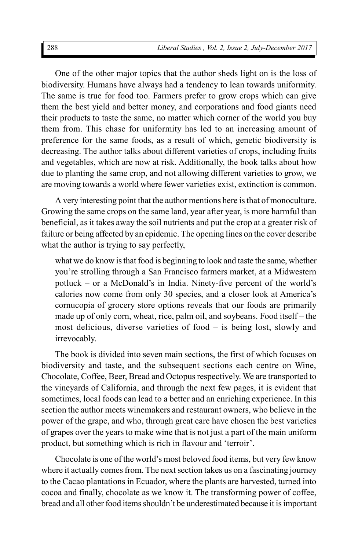One of the other major topics that the author sheds light on is the loss of biodiversity. Humans have always had a tendency to lean towards uniformity. The same is true for food too. Farmers prefer to grow crops which can give them the best yield and better money, and corporations and food giants need their products to taste the same, no matter which corner of the world you buy them from. This chase for uniformity has led to an increasing amount of preference for the same foods, as a result of which, genetic biodiversity is decreasing. The author talks about different varieties of crops, including fruits and vegetables, which are now at risk. Additionally, the book talks about how due to planting the same crop, and not allowing different varieties to grow, we are moving towards a world where fewer varieties exist, extinction is common.

A very interesting point that the author mentions here is that of monoculture. Growing the same crops on the same land, year after year, is more harmful than beneficial, as it takes away the soil nutrients and put the crop at a greater risk of failure or being affected by an epidemic. The opening lines on the cover describe what the author is trying to say perfectly,

what we do know is that food is beginning to look and taste the same, whether you're strolling through a San Francisco farmers market, at a Midwestern potluck – or a McDonald's in India. Ninety-five percent of the world's calories now come from only 30 species, and a closer look at America's cornucopia of grocery store options reveals that our foods are primarily made up of only corn, wheat, rice, palm oil, and soybeans. Food itself – the most delicious, diverse varieties of food – is being lost, slowly and irrevocably.

The book is divided into seven main sections, the first of which focuses on biodiversity and taste, and the subsequent sections each centre on Wine, Chocolate, Coffee, Beer, Bread and Octopus respectively. We are transported to the vineyards of California, and through the next few pages, it is evident that sometimes, local foods can lead to a better and an enriching experience. In this section the author meets winemakers and restaurant owners, who believe in the power of the grape, and who, through great care have chosen the best varieties of grapes over the years to make wine that is not just a part of the main uniform product, but something which is rich in flavour and 'terroir'.

Chocolate is one of the world's most beloved food items, but very few know where it actually comes from. The next section takes us on a fascinating journey to the Cacao plantations in Ecuador, where the plants are harvested, turned into cocoa and finally, chocolate as we know it. The transforming power of coffee, bread and all other food items shouldn't be underestimated because it is important